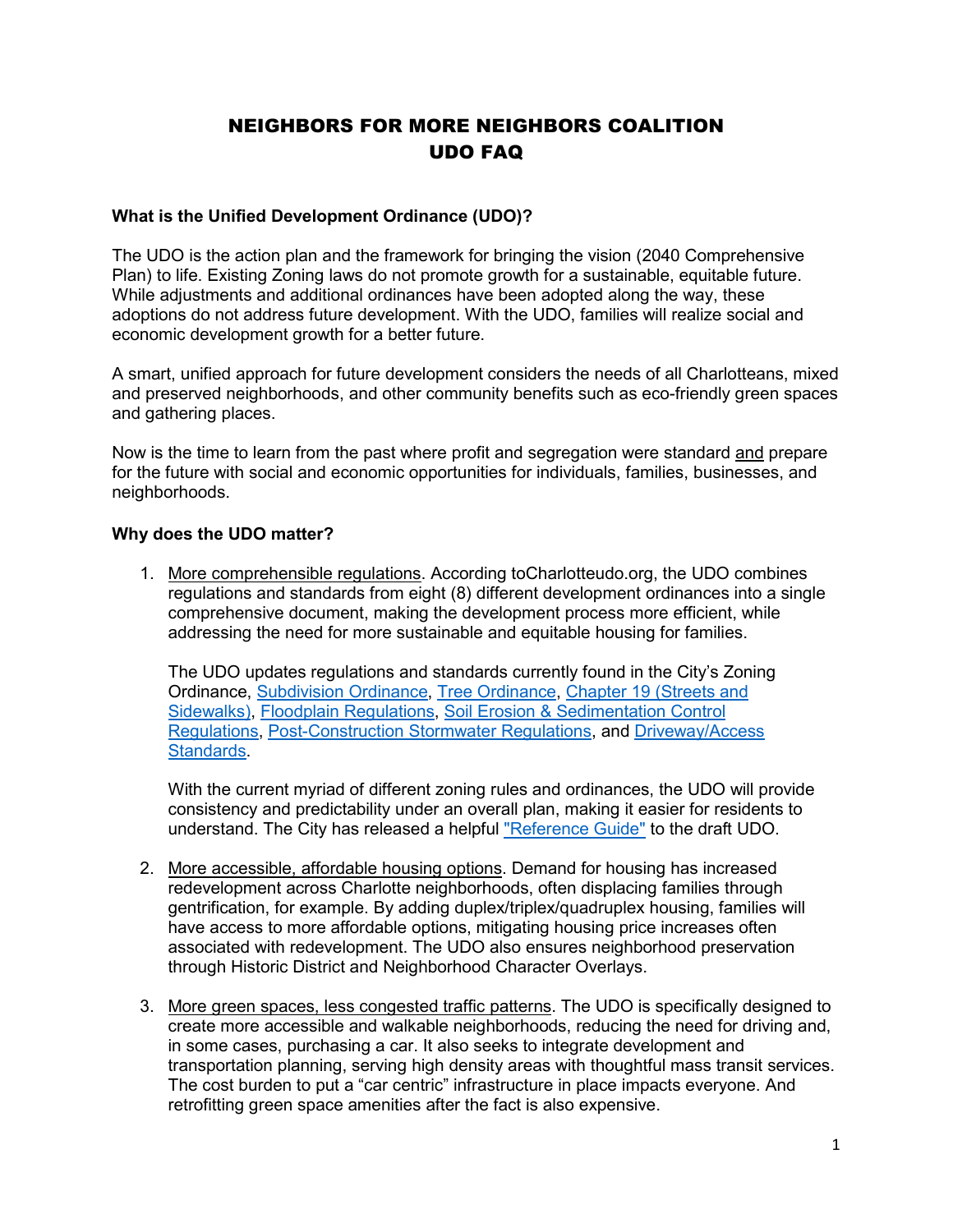# NEIGHBORS FOR MORE NEIGHBORS COALITION UDO FAQ

## **What is the Unified Development Ordinance (UDO)?**

The UDO is the action plan and the framework for bringing the vision (2040 Comprehensive Plan) to life. Existing Zoning laws do not promote growth for a sustainable, equitable future. While adjustments and additional ordinances have been adopted along the way, these adoptions do not address future development. With the UDO, families will realize social and economic development growth for a better future.

A smart, unified approach for future development considers the needs of all Charlotteans, mixed and preserved neighborhoods, and other community benefits such as eco-friendly green spaces and gathering places.

Now is the time to learn from the past where profit and segregation were standard and prepare for the future with social and economic opportunities for individuals, families, businesses, and neighborhoods.

## **Why does the UDO matter?**

1. More comprehensible regulations. According toCharlotteudo.org, the UDO combines regulations and standards from eight (8) different development ordinances into a single comprehensive document, making the development process more efficient, while addressing the need for more sustainable and equitable housing for families.

The UDO updates regulations and standards currently found in the City's Zoning Ordinance, [Subdivision](http://ww.charmeck.org/Planning/Subdivision/SubdivisionOrdinanceCity.pdf) Ordinance, Tree [Ordinance,](https://charlottenc.gov/DevelopmentCenter/Pages/Tree_ordinance.aspx) [Chapter](https://library.municode.com/nc/charlotte/codes/code_of_ordinances?nodeId=PTIICOOR_CH19STSIOTPUPL) 19 (Streets and [Sidewalks\),](https://library.municode.com/nc/charlotte/codes/code_of_ordinances?nodeId=PTIICOOR_CH19STSIOTPUPL) Floodplain [Regulations,](https://library.municode.com/nc/charlotte/codes/code_of_ordinances?nodeId=PTIICOOR_CH9FLRE) Soil Erosion & [Sedimentation](https://library.municode.com/nc/charlotte/codes/code_of_ordinances?nodeId=PTIICOOR_CH17SOERSECO) Control [Regulations,](https://library.municode.com/nc/charlotte/codes/code_of_ordinances?nodeId=PTIICOOR_CH17SOERSECO) [Post-Construction](https://library.municode.com/nc/charlotte/codes/code_of_ordinances?nodeId=PTIICOOR_CH18ST_ARTIVPONSST) Stormwater Regulations, and [Driveway/Access](https://charlottenc.gov/Transportation/Permits/Documents/Driveway%20Manual%20Update%202013_Draft_.pdf) [Standards.](https://charlottenc.gov/Transportation/Permits/Documents/Driveway%20Manual%20Update%202013_Draft_.pdf)

With the current myriad of different zoning rules and ordinances, the UDO will provide consistency and predictability under an overall plan, making it easier for residents to understand. The City has released a helpful ["Reference Guide"](https://charlotteudo.org/wp-content/uploads/2021/11/UDO-Reference-Guide_Final.pdf) to the draft UDO.

- 2. More accessible, affordable housing options. Demand for housing has increased redevelopment across Charlotte neighborhoods, often displacing families through gentrification, for example. By adding duplex/triplex/quadruplex housing, families will have access to more affordable options, mitigating housing price increases often associated with redevelopment. The UDO also ensures neighborhood preservation through Historic District and Neighborhood Character Overlays.
- 3. More green spaces, less congested traffic patterns. The UDO is specifically designed to create more accessible and walkable neighborhoods, reducing the need for driving and, in some cases, purchasing a car. It also seeks to integrate development and transportation planning, serving high density areas with thoughtful mass transit services. The cost burden to put a "car centric" infrastructure in place impacts everyone. And retrofitting green space amenities after the fact is also expensive.